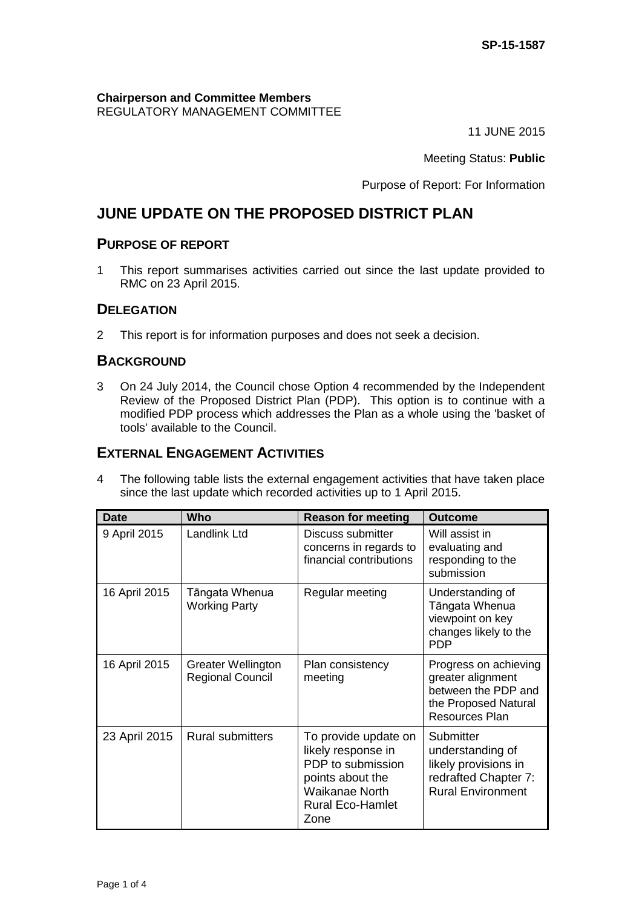#### **Chairperson and Committee Members** REGULATORY MANAGEMENT COMMITTEE

11 JUNE 2015

Meeting Status: **Public**

Purpose of Report: For Information

# **JUNE UPDATE ON THE PROPOSED DISTRICT PLAN**

## **PURPOSE OF REPORT**

1 This report summarises activities carried out since the last update provided to RMC on 23 April 2015.

## **DELEGATION**

2 This report is for information purposes and does not seek a decision.

## **BACKGROUND**

3 On 24 July 2014, the Council chose Option 4 recommended by the Independent Review of the Proposed District Plan (PDP). This option is to continue with a modified PDP process which addresses the Plan as a whole using the 'basket of tools' available to the Council.

## **EXTERNAL ENGAGEMENT ACTIVITIES**

4 The following table lists the external engagement activities that have taken place since the last update which recorded activities up to 1 April 2015.

| <b>Date</b>   | Who                                                  | <b>Reason for meeting</b>                                                                                                                       | <b>Outcome</b>                                                                                                     |
|---------------|------------------------------------------------------|-------------------------------------------------------------------------------------------------------------------------------------------------|--------------------------------------------------------------------------------------------------------------------|
| 9 April 2015  | Landlink Ltd                                         | Discuss submitter<br>concerns in regards to<br>financial contributions                                                                          | Will assist in<br>evaluating and<br>responding to the<br>submission                                                |
| 16 April 2015 | Tāngata Whenua<br><b>Working Party</b>               | Regular meeting                                                                                                                                 | Understanding of<br>Tāngata Whenua<br>viewpoint on key<br>changes likely to the<br><b>PDP</b>                      |
| 16 April 2015 | <b>Greater Wellington</b><br><b>Regional Council</b> | Plan consistency<br>meeting                                                                                                                     | Progress on achieving<br>greater alignment<br>between the PDP and<br>the Proposed Natural<br><b>Resources Plan</b> |
| 23 April 2015 | <b>Rural submitters</b>                              | To provide update on<br>likely response in<br>PDP to submission<br>points about the<br><b>Waikanae North</b><br><b>Rural Eco-Hamlet</b><br>Zone | Submitter<br>understanding of<br>likely provisions in<br>redrafted Chapter 7:<br><b>Rural Environment</b>          |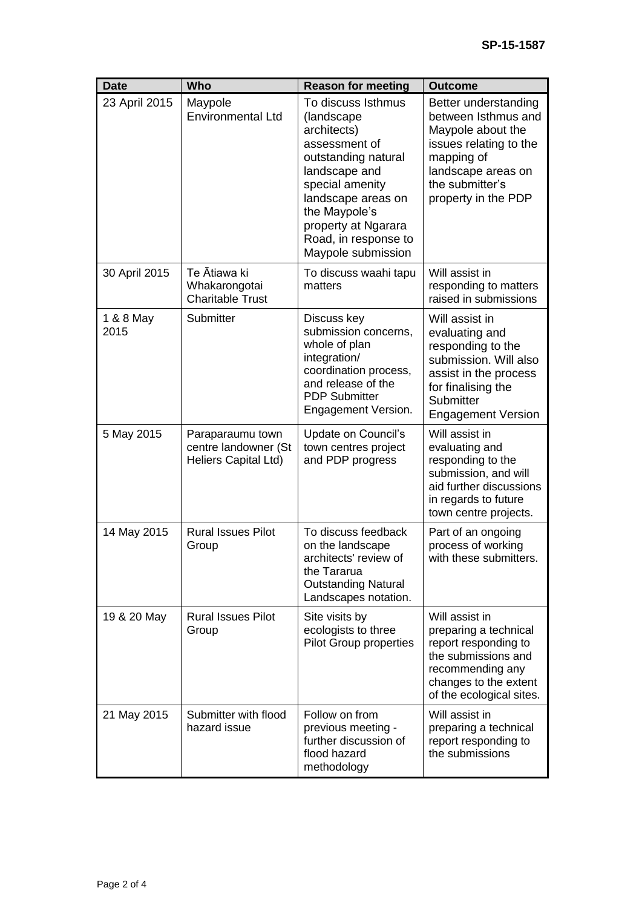| <b>Date</b>       | Who                                                              | <b>Reason for meeting</b>                                                                                                                                                                                                               | <b>Outcome</b>                                                                                                                                                           |
|-------------------|------------------------------------------------------------------|-----------------------------------------------------------------------------------------------------------------------------------------------------------------------------------------------------------------------------------------|--------------------------------------------------------------------------------------------------------------------------------------------------------------------------|
| 23 April 2015     | Maypole<br><b>Environmental Ltd</b>                              | To discuss Isthmus<br>(landscape<br>architects)<br>assessment of<br>outstanding natural<br>landscape and<br>special amenity<br>landscape areas on<br>the Maypole's<br>property at Ngarara<br>Road, in response to<br>Maypole submission | Better understanding<br>between Isthmus and<br>Maypole about the<br>issues relating to the<br>mapping of<br>landscape areas on<br>the submitter's<br>property in the PDP |
| 30 April 2015     | Te Ātiawa ki<br>Whakarongotai<br><b>Charitable Trust</b>         | To discuss waahi tapu<br>matters                                                                                                                                                                                                        | Will assist in<br>responding to matters<br>raised in submissions                                                                                                         |
| 1 & 8 May<br>2015 | Submitter                                                        | Discuss key<br>submission concerns,<br>whole of plan<br>integration/<br>coordination process,<br>and release of the<br><b>PDP Submitter</b><br>Engagement Version.                                                                      | Will assist in<br>evaluating and<br>responding to the<br>submission. Will also<br>assist in the process<br>for finalising the<br>Submitter<br><b>Engagement Version</b>  |
| 5 May 2015        | Paraparaumu town<br>centre landowner (St<br>Heliers Capital Ltd) | Update on Council's<br>town centres project<br>and PDP progress                                                                                                                                                                         | Will assist in<br>evaluating and<br>responding to the<br>submission, and will<br>aid further discussions<br>in regards to future<br>town centre projects.                |
| 14 May 2015       | <b>Rural Issues Pilot</b><br>Group                               | To discuss feedback<br>on the landscape<br>architects' review of<br>the Tararua<br><b>Outstanding Natural</b><br>Landscapes notation.                                                                                                   | Part of an ongoing<br>process of working<br>with these submitters.                                                                                                       |
| 19 & 20 May       | <b>Rural Issues Pilot</b><br>Group                               | Site visits by<br>ecologists to three<br><b>Pilot Group properties</b>                                                                                                                                                                  | Will assist in<br>preparing a technical<br>report responding to<br>the submissions and<br>recommending any<br>changes to the extent<br>of the ecological sites.          |
| 21 May 2015       | Submitter with flood<br>hazard issue                             | Follow on from<br>previous meeting -<br>further discussion of<br>flood hazard<br>methodology                                                                                                                                            | Will assist in<br>preparing a technical<br>report responding to<br>the submissions                                                                                       |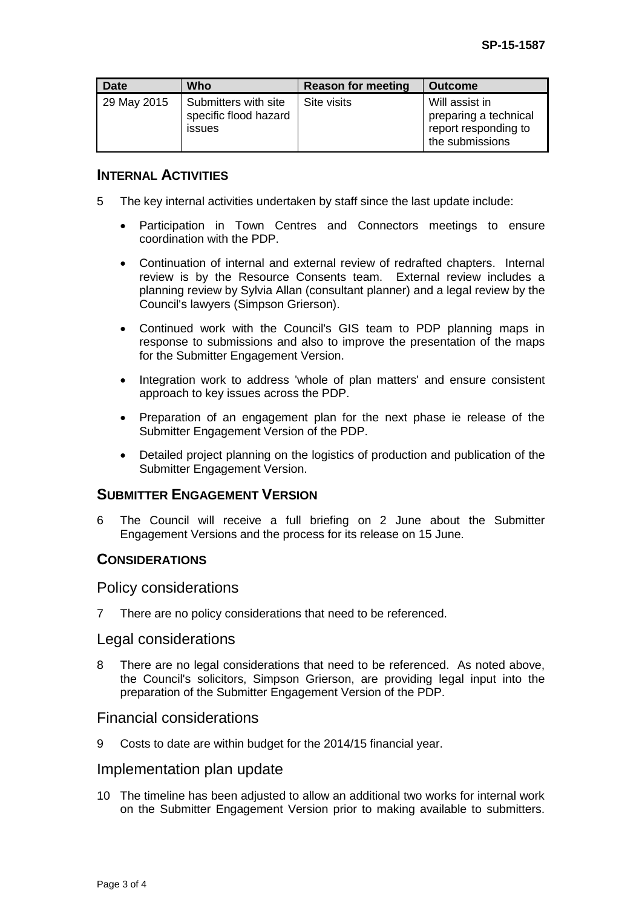| <b>Date</b> | Who                                                            | <b>Reason for meeting</b> | <b>Outcome</b>                                                                     |
|-------------|----------------------------------------------------------------|---------------------------|------------------------------------------------------------------------------------|
| 29 May 2015 | Submitters with site<br>specific flood hazard<br><i>issues</i> | Site visits               | Will assist in<br>preparing a technical<br>report responding to<br>the submissions |

## **INTERNAL ACTIVITIES**

- 5 The key internal activities undertaken by staff since the last update include:
	- Participation in Town Centres and Connectors meetings to ensure coordination with the PDP.
	- Continuation of internal and external review of redrafted chapters. Internal review is by the Resource Consents team. External review includes a planning review by Sylvia Allan (consultant planner) and a legal review by the Council's lawyers (Simpson Grierson).
	- Continued work with the Council's GIS team to PDP planning maps in response to submissions and also to improve the presentation of the maps for the Submitter Engagement Version.
	- Integration work to address 'whole of plan matters' and ensure consistent approach to key issues across the PDP.
	- Preparation of an engagement plan for the next phase ie release of the Submitter Engagement Version of the PDP.
	- Detailed project planning on the logistics of production and publication of the Submitter Engagement Version.

## **SUBMITTER ENGAGEMENT VERSION**

6 The Council will receive a full briefing on 2 June about the Submitter Engagement Versions and the process for its release on 15 June.

#### **CONSIDERATIONS**

#### Policy considerations

7 There are no policy considerations that need to be referenced.

#### Legal considerations

8 There are no legal considerations that need to be referenced. As noted above, the Council's solicitors, Simpson Grierson, are providing legal input into the preparation of the Submitter Engagement Version of the PDP.

#### Financial considerations

9 Costs to date are within budget for the 2014/15 financial year.

#### Implementation plan update

10 The timeline has been adjusted to allow an additional two works for internal work on the Submitter Engagement Version prior to making available to submitters.